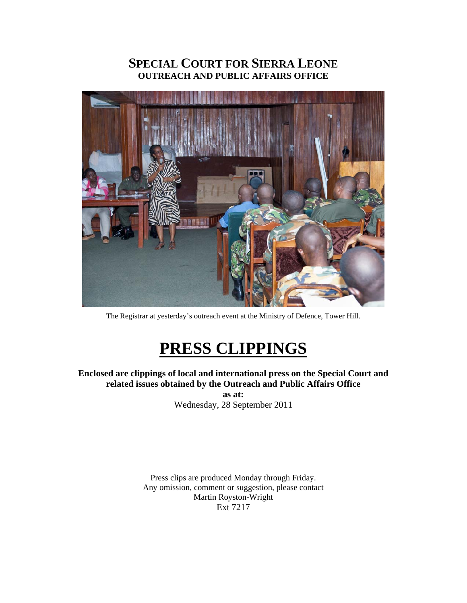## **SPECIAL COURT FOR SIERRA LEONE OUTREACH AND PUBLIC AFFAIRS OFFICE**



The Registrar at yesterday's outreach event at the Ministry of Defence, Tower Hill.

# **PRESS CLIPPINGS**

**Enclosed are clippings of local and international press on the Special Court and related issues obtained by the Outreach and Public Affairs Office as at:** 

Wednesday, 28 September 2011

Press clips are produced Monday through Friday. Any omission, comment or suggestion, please contact Martin Royston-Wright Ext 7217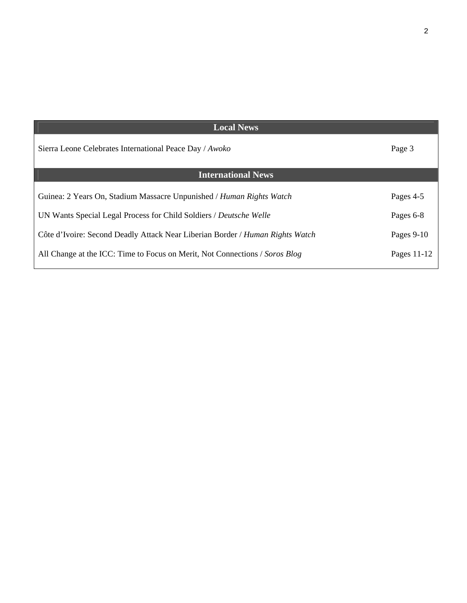| <b>Local News</b>                                                             |             |
|-------------------------------------------------------------------------------|-------------|
| Sierra Leone Celebrates International Peace Day / Awoko                       | Page 3      |
| <b>International News</b>                                                     |             |
| Guinea: 2 Years On, Stadium Massacre Unpunished / Human Rights Watch          | Pages 4-5   |
| UN Wants Special Legal Process for Child Soldiers / Deutsche Welle            | Pages 6-8   |
| Côte d'Ivoire: Second Deadly Attack Near Liberian Border / Human Rights Watch | Pages 9-10  |
| All Change at the ICC: Time to Focus on Merit, Not Connections / Soros Blog   | Pages 11-12 |

2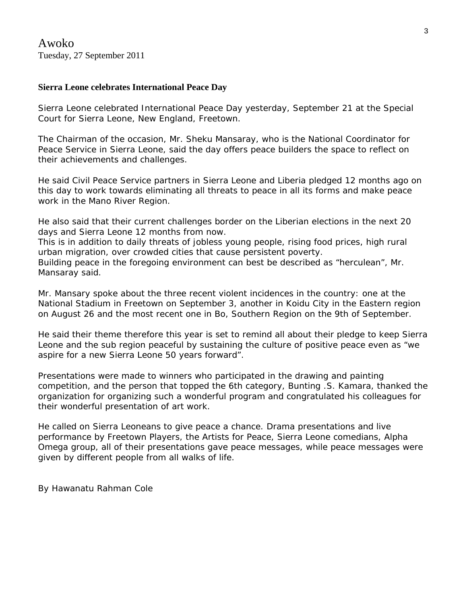#### **Sierra Leone celebrates International Peace Day**

Sierra Leone celebrated International Peace Day yesterday, September 21 at the Special Court for Sierra Leone, New England, Freetown.

The Chairman of the occasion, Mr. Sheku Mansaray, who is the National Coordinator for Peace Service in Sierra Leone, said the day offers peace builders the space to reflect on their achievements and challenges.

He said Civil Peace Service partners in Sierra Leone and Liberia pledged 12 months ago on this day to work towards eliminating all threats to peace in all its forms and make peace work in the Mano River Region.

He also said that their current challenges border on the Liberian elections in the next 20 days and Sierra Leone 12 months from now.

This is in addition to daily threats of jobless young people, rising food prices, high rural urban migration, over crowded cities that cause persistent poverty. Building peace in the foregoing environment can best be described as "herculean", Mr.

Mansaray said.

Mr. Mansary spoke about the three recent violent incidences in the country: one at the National Stadium in Freetown on September 3, another in Koidu City in the Eastern region on August 26 and the most recent one in Bo, Southern Region on the 9th of September.

He said their theme therefore this year is set to remind all about their pledge to keep Sierra Leone and the sub region peaceful by sustaining the culture of positive peace even as "we aspire for a new Sierra Leone 50 years forward".

Presentations were made to winners who participated in the drawing and painting competition, and the person that topped the 6th category, Bunting .S. Kamara, thanked the organization for organizing such a wonderful program and congratulated his colleagues for their wonderful presentation of art work.

He called on Sierra Leoneans to give peace a chance. Drama presentations and live performance by Freetown Players, the Artists for Peace, Sierra Leone comedians, Alpha Omega group, all of their presentations gave peace messages, while peace messages were given by different people from all walks of life.

By Hawanatu Rahman Cole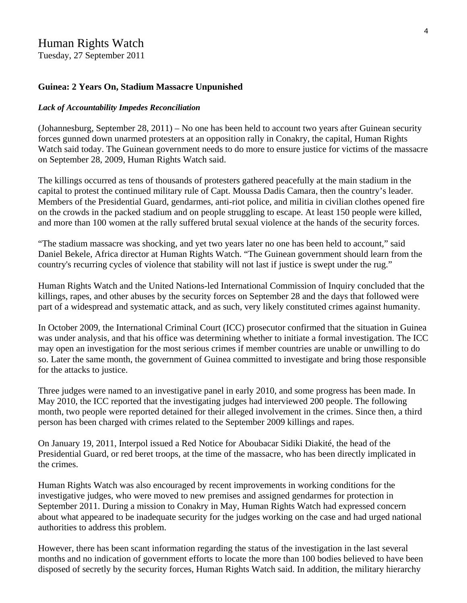Tuesday, 27 September 2011

#### **Guinea: 2 Years On, Stadium Massacre Unpunished**

#### *Lack of Accountability Impedes Reconciliation*

(Johannesburg, September 28, 2011) – No one has been held to account two years after Guinean security forces gunned down unarmed protesters at an opposition rally in Conakry, the capital, Human Rights Watch said today. The Guinean government needs to do more to ensure justice for victims of the massacre on September 28, 2009, Human Rights Watch said.

The killings occurred as tens of thousands of protesters gathered peacefully at the main stadium in the capital to protest the continued military rule of Capt. Moussa Dadis Camara, then the country's leader. Members of the Presidential Guard, gendarmes, anti-riot police, and militia in civilian clothes opened fire on the crowds in the packed stadium and on people struggling to escape. At least 150 people were killed, and more than 100 women at the rally suffered brutal sexual violence at the hands of the security forces.

"The stadium massacre was shocking, and yet two years later no one has been held to account," said Daniel Bekele, Africa director at Human Rights Watch. "The Guinean government should learn from the country's recurring cycles of violence that stability will not last if justice is swept under the rug."

Human Rights Watch and the United Nations-led International Commission of Inquiry concluded that the killings, rapes, and other abuses by the security forces on September 28 and the days that followed were part of a widespread and systematic attack, and as such, very likely constituted crimes against humanity.

In October 2009, the International Criminal Court (ICC) prosecutor confirmed that the situation in Guinea was under analysis, and that his office was determining whether to initiate a formal investigation. The ICC may open an investigation for the most serious crimes if member countries are unable or unwilling to do so. Later the same month, the government of Guinea committed to investigate and bring those responsible for the attacks to justice.

Three judges were named to an investigative panel in early 2010, and some progress has been made. In May 2010, the ICC reported that the investigating judges had interviewed 200 people. The following month, two people were reported detained for their alleged involvement in the crimes. Since then, a third person has been charged with crimes related to the September 2009 killings and rapes.

On January 19, 2011, Interpol issued a Red Notice for Aboubacar Sidiki Diakité, the head of the Presidential Guard, or red beret troops, at the time of the massacre, who has been directly implicated in the crimes.

Human Rights Watch was also encouraged by recent improvements in working conditions for the investigative judges, who were moved to new premises and assigned gendarmes for protection in September 2011. During a mission to Conakry in May, Human Rights Watch had expressed concern about what appeared to be inadequate security for the judges working on the case and had urged national authorities to address this problem.

However, there has been scant information regarding the status of the investigation in the last several months and no indication of government efforts to locate the more than 100 bodies believed to have been disposed of secretly by the security forces, Human Rights Watch said. In addition, the military hierarchy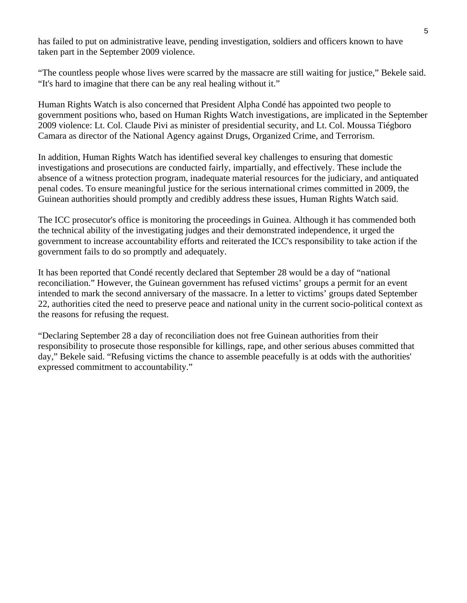has failed to put on administrative leave, pending investigation, soldiers and officers known to have taken part in the September 2009 violence.

"The countless people whose lives were scarred by the massacre are still waiting for justice," Bekele said. "It's hard to imagine that there can be any real healing without it."

Human Rights Watch is also concerned that President Alpha Condé has appointed two people to government positions who, based on Human Rights Watch investigations, are implicated in the September 2009 violence: Lt. Col. Claude Pivi as minister of presidential security, and Lt. Col. Moussa Tiégboro Camara as director of the National Agency against Drugs, Organized Crime, and Terrorism.

In addition, Human Rights Watch has identified several key challenges to ensuring that domestic investigations and prosecutions are conducted fairly, impartially, and effectively. These include the absence of a witness protection program, inadequate material resources for the judiciary, and antiquated penal codes. To ensure meaningful justice for the serious international crimes committed in 2009, the Guinean authorities should promptly and credibly address these issues, Human Rights Watch said.

The ICC prosecutor's office is monitoring the proceedings in Guinea. Although it has commended both the technical ability of the investigating judges and their demonstrated independence, it urged the government to increase accountability efforts and reiterated the ICC's responsibility to take action if the government fails to do so promptly and adequately.

It has been reported that Condé recently declared that September 28 would be a day of "national reconciliation." However, the Guinean government has refused victims' groups a permit for an event intended to mark the second anniversary of the massacre. In a letter to victims' groups dated September 22, authorities cited the need to preserve peace and national unity in the current socio-political context as the reasons for refusing the request.

"Declaring September 28 a day of reconciliation does not free Guinean authorities from their responsibility to prosecute those responsible for killings, rape, and other serious abuses committed that day," Bekele said. "Refusing victims the chance to assemble peacefully is at odds with the authorities' expressed commitment to accountability."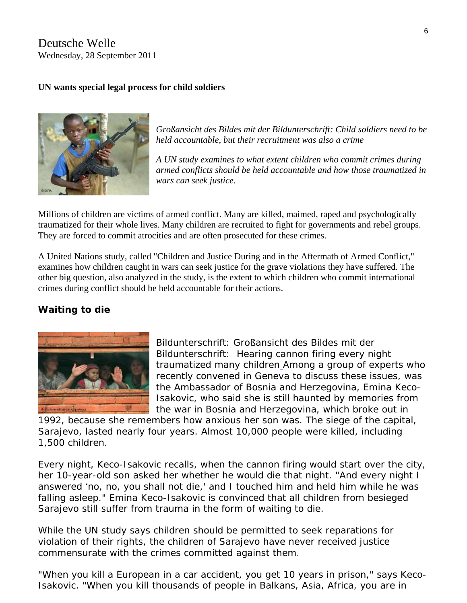## Deutsche Welle Wednesday, 28 September 2011

#### **UN wants special legal process for child soldiers**



*[Großansicht des Bildes mit der Bildunterschrift: Child soldiers need to be](http://www.dw-world.de/popups/popup_lupe/0,,15421495,00.html)  [held accountable, but their recruitment was also a crime](http://www.dw-world.de/popups/popup_lupe/0,,15421495,00.html)*

*A UN study examines to what extent children who commit crimes during armed conflicts should be held accountable and how those traumatized in wars can seek justice.* 

Millions of children are victims of armed conflict. Many are killed, maimed, raped and psychologically traumatized for their whole lives. Many children are recruited to fight for governments and rebel groups. They are forced to commit atrocities and are often prosecuted for these crimes.

A United Nations study, called "Children and Justice During and in the Aftermath of Armed Conflict," examines how children caught in wars can seek justice for the grave violations they have suffered. The other big question, also analyzed in the study, is the extent to which children who commit international crimes during conflict should be held accountable for their actions.

## **Waiting to die**



*Bildunterschrift: [Großansicht des Bildes mit der](http://www.dw-world.de/popups/popup_lupe/0,,15421495_ind_1,00.html)  [Bildunterschrift: Hearing cannon firing every night](http://www.dw-world.de/popups/popup_lupe/0,,15421495_ind_1,00.html)  [traumatized many children](http://www.dw-world.de/popups/popup_lupe/0,,15421495_ind_1,00.html)* Among a group of experts who recently convened in Geneva to discuss these issues, was the Ambassador of Bosnia and Herzegovina, Emina Keco-Isakovic, who said she is still haunted by memories from the war in Bosnia and Herzegovina, which broke out in

[1992, because she remem](http://www.dw-world.de/popups/popup_lupe/0,,15421495_ind_1,00.html)bers how anxious her son was. The siege of the capital, Sarajevo, lasted nearly four years. Almost 10,000 people were killed, including 1,500 children.

Every night, Keco-Isakovic recalls, when the cannon firing would start over the city, her 10-year-old son asked her whether he would die that night. "And every night I answered 'no, no, you shall not die,' and I touched him and held him while he was falling asleep." Emina Keco-Isakovic is convinced that all children from besieged Sarajevo still suffer from trauma in the form of waiting to die.

While the UN study says children should be permitted to seek reparations for violation of their rights, the children of Sarajevo have never received justice commensurate with the crimes committed against them.

"When you kill a European in a car accident, you get 10 years in prison," says Keco-Isakovic. "When you kill thousands of people in Balkans, Asia, Africa, you are in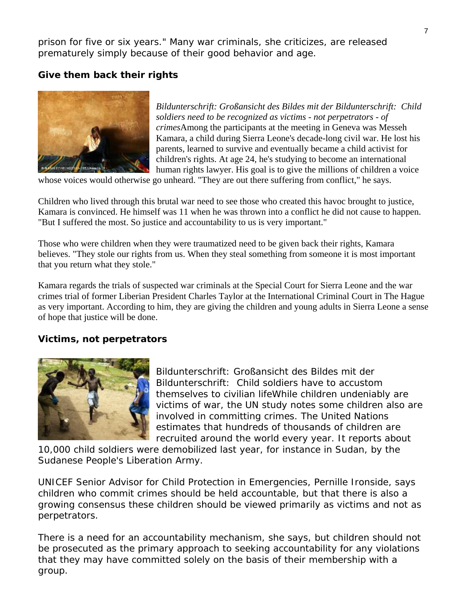prison for five or six years." Many war criminals, she criticizes, are released prematurely simply because of their good behavior and age.

### **Give them back their rights**



*Bildunterschrift: [Großansicht des Bildes mit der Bildunterschrift: Child](http://www.dw-world.de/popups/popup_lupe/0,,15421495_ind_2,00.html)  [soldiers need to be recognized as victims - not perpetrators - of](http://www.dw-world.de/popups/popup_lupe/0,,15421495_ind_2,00.html)  [crimes](http://www.dw-world.de/popups/popup_lupe/0,,15421495_ind_2,00.html)*Among the participants at the meeting in Geneva was Messeh Kamara, a child during Sierra Leone's decade-long civil war. He lost his parents, learned to survive and eventually became a child activist for children's rights. At age 24, he's studying to become an international human rights lawyer. His goal is to give the millions of children a voice

[whose voices would otherwise](http://www.dw-world.de/popups/popup_lupe/0,,15421495_ind_2,00.html) go unheard. "They are out there suffering from conflict," he says.

Children who lived through this brutal war need to see those who created this havoc brought to justice, Kamara is convinced. He himself was 11 when he was thrown into a conflict he did not cause to happen. "But I suffered the most. So justice and accountability to us is very important."

Those who were children when they were traumatized need to be given back their rights, Kamara believes. "They stole our rights from us. When they steal something from someone it is most important that you return what they stole."

Kamara regards the trials of suspected war criminals at the Special Court for Sierra Leone and the war crimes trial of former Liberian President Charles Taylor at the International Criminal Court in The Hague as very important. According to him, they are giving the children and young adults in Sierra Leone a sense of hope that justice will be done.

#### **Victims, not perpetrators**



*Bildunterschrift: [Großansicht des Bildes mit der](http://www.dw-world.de/popups/popup_lupe/0,,15421495_ind_3,00.html)  [Bildunterschrift: Child soldiers have to accustom](http://www.dw-world.de/popups/popup_lupe/0,,15421495_ind_3,00.html)  [themselves to civilian life](http://www.dw-world.de/popups/popup_lupe/0,,15421495_ind_3,00.html)*While children undeniably are victims of war, the UN study notes some children also are involved in committing crimes. The United Nations estimates that hundreds of thousands of children are recruited around the world every year. It reports about

10,000 child soldiers were demobilized last year, for instance in Sudan, by the Sudanese People's Liberation Army.

UNICEF Senior Advisor for Child Protection in Emergencies, Pernille Ironside, says children who commit crimes should be held accountable, but that there is also a growing consensus these children should be viewed primarily as victims and not as perpetrators.

There is a need for an accountability mechanism, she says, but children should not be prosecuted as the primary approach to seeking accountability for any violations that they may have committed solely on the basis of their membership with a group.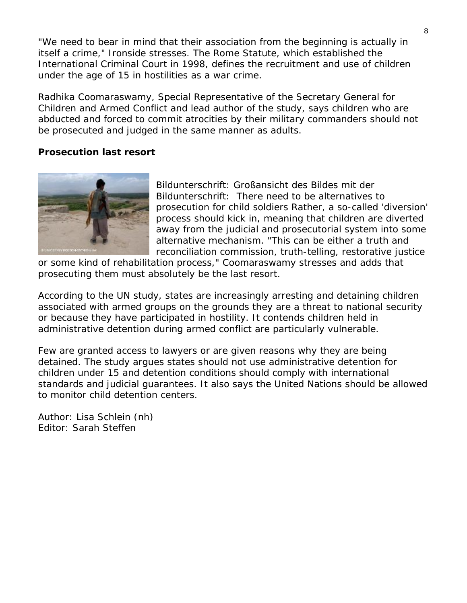"We need to bear in mind that their association from the beginning is actually in itself a crime," Ironside stresses. The Rome Statute, which established the International Criminal Court in 1998, defines the recruitment and use of children under the age of 15 in hostilities as a war crime.

Radhika Coomaraswamy, Special Representative of the Secretary General for Children and Armed Conflict and lead author of the study, says children who are abducted and forced to commit atrocities by their military commanders should not be prosecuted and judged in the same manner as adults.

## **Prosecution last resort**



*Bildunterschrift: [Großansicht des Bildes mit der](http://www.dw-world.de/popups/popup_lupe/0,,15421495_ind_4,00.html)  [Bildunterschrift: There need to be alternatives to](http://www.dw-world.de/popups/popup_lupe/0,,15421495_ind_4,00.html)  [prosecution for child soldiers](http://www.dw-world.de/popups/popup_lupe/0,,15421495_ind_4,00.html)* Rather, a so-called 'diversion' process should kick in, meaning that children are diverted away from the judicial and prosecutorial system into some alternative mechanism. "This can be either a truth and reconciliation commission, truth-telling, restorative justice

or some kind of rehabilitation process," Coomaraswamy stresses and adds that prosecuting them must absolutely be the last resort.

According to the UN study, states are increasingly arresting and detaining children associated with armed groups on the grounds they are a threat to national security or because they have participated in hostility. It contends children held in administrative detention during armed conflict are particularly vulnerable.

Few are granted access to lawyers or are given reasons why they are being detained. The study argues states should not use administrative detention for children under 15 and detention conditions should comply with international standards and judicial guarantees. It also says the United Nations should be allowed to monitor child detention centers.

Author: Lisa Schlein (nh) Editor: Sarah Steffen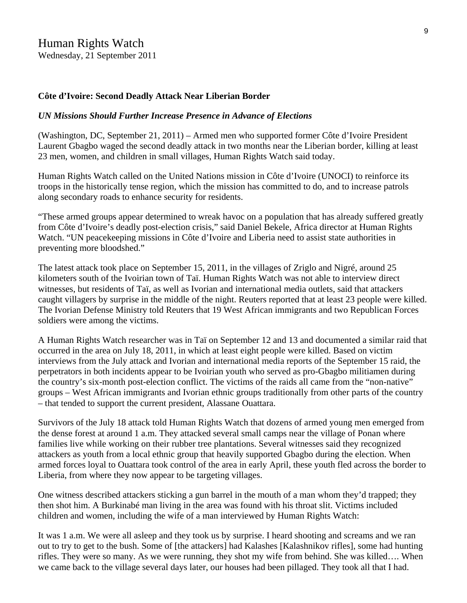#### **Côte d'Ivoire: Second Deadly Attack Near Liberian Border**

#### *UN Missions Should Further Increase Presence in Advance of Elections*

(Washington, DC, September 21, 2011) – Armed men who supported former Côte d'Ivoire President Laurent Gbagbo waged the second deadly attack in two months near the Liberian border, killing at least 23 men, women, and children in small villages, Human Rights Watch said today.

Human Rights Watch called on the United Nations mission in Côte d'Ivoire (UNOCI) to reinforce its troops in the historically tense region, which the mission has committed to do, and to increase patrols along secondary roads to enhance security for residents.

"These armed groups appear determined to wreak havoc on a population that has already suffered greatly from Côte d'Ivoire's deadly post-election crisis," said Daniel Bekele, Africa director at Human Rights Watch. "UN peacekeeping missions in Côte d'Ivoire and Liberia need to assist state authorities in preventing more bloodshed."

The latest attack took place on September 15, 2011, in the villages of Zriglo and Nigré, around 25 kilometers south of the Ivoirian town of Taï. Human Rights Watch was not able to interview direct witnesses, but residents of Taï, as well as Ivorian and international media outlets, said that attackers caught villagers by surprise in the middle of the night. Reuters reported that at least 23 people were killed. The Ivorian Defense Ministry told Reuters that 19 West African immigrants and two Republican Forces soldiers were among the victims.

A Human Rights Watch researcher was in Taï on September 12 and 13 and documented a similar raid that occurred in the area on July 18, 2011, in which at least eight people were killed. Based on victim interviews from the July attack and Ivorian and international media reports of the September 15 raid, the perpetrators in both incidents appear to be Ivoirian youth who served as pro-Gbagbo militiamen during the country's six-month post-election conflict. The victims of the raids all came from the "non-native" groups – West African immigrants and Ivorian ethnic groups traditionally from other parts of the country – that tended to support the current president, Alassane Ouattara.

Survivors of the July 18 attack told Human Rights Watch that dozens of armed young men emerged from the dense forest at around 1 a.m. They attacked several small camps near the village of Ponan where families live while working on their rubber tree plantations. Several witnesses said they recognized attackers as youth from a local ethnic group that heavily supported Gbagbo during the election. When armed forces loyal to Ouattara took control of the area in early April, these youth fled across the border to Liberia, from where they now appear to be targeting villages.

One witness described attackers sticking a gun barrel in the mouth of a man whom they'd trapped; they then shot him. A Burkinabé man living in the area was found with his throat slit. Victims included children and women, including the wife of a man interviewed by Human Rights Watch:

It was 1 a.m. We were all asleep and they took us by surprise. I heard shooting and screams and we ran out to try to get to the bush. Some of [the attackers] had Kalashes [Kalashnikov rifles], some had hunting rifles. They were so many. As we were running, they shot my wife from behind. She was killed…. When we came back to the village several days later, our houses had been pillaged. They took all that I had.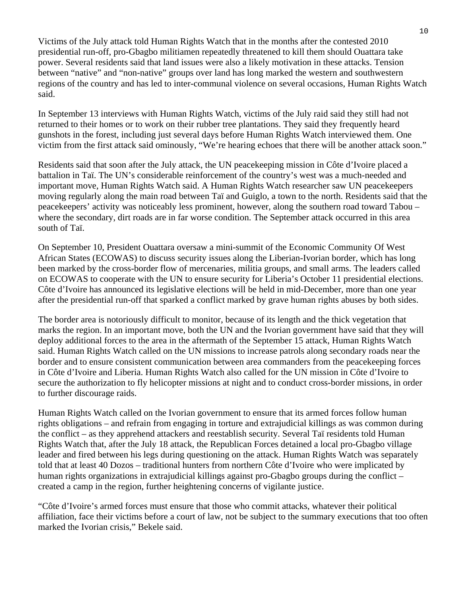Victims of the July attack told Human Rights Watch that in the months after the contested 2010 presidential run-off, pro-Gbagbo militiamen repeatedly threatened to kill them should Ouattara take power. Several residents said that land issues were also a likely motivation in these attacks. Tension between "native" and "non-native" groups over land has long marked the western and southwestern regions of the country and has led to inter-communal violence on several occasions, Human Rights Watch said.

In September 13 interviews with Human Rights Watch, victims of the July raid said they still had not returned to their homes or to work on their rubber tree plantations. They said they frequently heard gunshots in the forest, including just several days before Human Rights Watch interviewed them. One victim from the first attack said ominously, "We're hearing echoes that there will be another attack soon."

Residents said that soon after the July attack, the UN peacekeeping mission in Côte d'Ivoire placed a battalion in Taï. The UN's considerable reinforcement of the country's west was a much-needed and important move, Human Rights Watch said. A Human Rights Watch researcher saw UN peacekeepers moving regularly along the main road between Taï and Guiglo, a town to the north. Residents said that the peacekeepers' activity was noticeably less prominent, however, along the southern road toward Tabou – where the secondary, dirt roads are in far worse condition. The September attack occurred in this area south of Taï.

On September 10, President Ouattara oversaw a mini-summit of the Economic Community Of West African States (ECOWAS) to discuss security issues along the Liberian-Ivorian border, which has long been marked by the cross-border flow of mercenaries, militia groups, and small arms. The leaders called on ECOWAS to cooperate with the UN to ensure security for Liberia's October 11 presidential elections. Côte d'Ivoire has announced its legislative elections will be held in mid-December, more than one year after the presidential run-off that sparked a conflict marked by grave human rights abuses by both sides.

The border area is notoriously difficult to monitor, because of its length and the thick vegetation that marks the region. In an important move, both the UN and the Ivorian government have said that they will deploy additional forces to the area in the aftermath of the September 15 attack, Human Rights Watch said. Human Rights Watch called on the UN missions to increase patrols along secondary roads near the border and to ensure consistent communication between area commanders from the peacekeeping forces in Côte d'Ivoire and Liberia. Human Rights Watch also called for the UN mission in Côte d'Ivoire to secure the authorization to fly helicopter missions at night and to conduct cross-border missions, in order to further discourage raids.

Human Rights Watch called on the Ivorian government to ensure that its armed forces follow human rights obligations – and refrain from engaging in torture and extrajudicial killings as was common during the conflict – as they apprehend attackers and reestablish security. Several Taï residents told Human Rights Watch that, after the July 18 attack, the Republican Forces detained a local pro-Gbagbo village leader and fired between his legs during questioning on the attack. Human Rights Watch was separately told that at least 40 Dozos – traditional hunters from northern Côte d'Ivoire who were implicated by human rights organizations in extrajudicial killings against pro-Gbagbo groups during the conflict – created a camp in the region, further heightening concerns of vigilante justice.

"Côte d'Ivoire's armed forces must ensure that those who commit attacks, whatever their political affiliation, face their victims before a court of law, not be subject to the summary executions that too often marked the Ivorian crisis," Bekele said.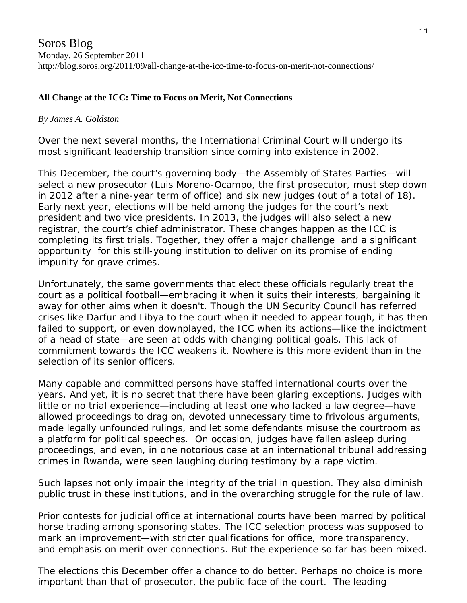#### **All Change at the ICC: Time to Focus on Merit, Not Connections**

#### *By [James A. Goldston](http://blog.soros.org/author/james-a-goldston/)*

Over the next several months, the International Criminal Court will undergo its most significant leadership transition since coming into existence in 2002.

This December, the court's governing body[—the Assembly of States Parties](http://www.icc-cpi.int/Menus/ASP/)—will select a new prosecutor (Luis Moreno-Ocampo, the first prosecutor, must step down in 2012 after a nine-year term of office) and six new judges (out of a total of 18). Early next year, elections will be held among the judges for the court's next president and two vice presidents. In 2013, the judges will also select a new registrar, the court's chief administrator. These changes happen as the ICC is completing its first trials. Together, they offer a major challenge and a significant opportunity for this still-young institution to deliver on its promise of ending impunity for grave crimes.

Unfortunately, the same governments that elect these officials regularly treat the court as a political football—embracing it when it suits their interests, bargaining it away for other aims when it doesn't. Though the UN Security Council has referred crises like Darfur and Libya to the court when it needed to appear tough, it has then failed to support, or even downplayed, the ICC when its actions—like the indictment of a head of state—are seen at odds with changing political goals. This lack of commitment towards the ICC weakens it. Nowhere is this more evident than in the selection of its senior officers.

Many capable and committed persons have staffed international courts over the years. And yet, it is no secret that there have been glaring exceptions. Judges with little or no trial experience—including at least one who lacked a law degree—have allowed proceedings to drag on, devoted unnecessary time to frivolous arguments, made legally unfounded rulings, and let some defendants misuse the courtroom as a platform for political speeches. On occasion, judges have fallen asleep during proceedings, and even, in one notorious case at an international tribunal addressing crimes in Rwanda, were seen laughing during testimony by a rape victim.

Such lapses not only impair the integrity of the trial in question. They also diminish public trust in these institutions, and in the overarching struggle for the rule of law.

Prior contests for judicial office at international courts have been marred by political horse trading among sponsoring states. The ICC selection process was supposed to mark an improvement—with stricter qualifications for office, more transparency, and emphasis on merit over connections. But the experience so far has been mixed.

The elections this December offer a chance to do better. Perhaps no choice is more important than that of prosecutor, the public face of the court. The leading